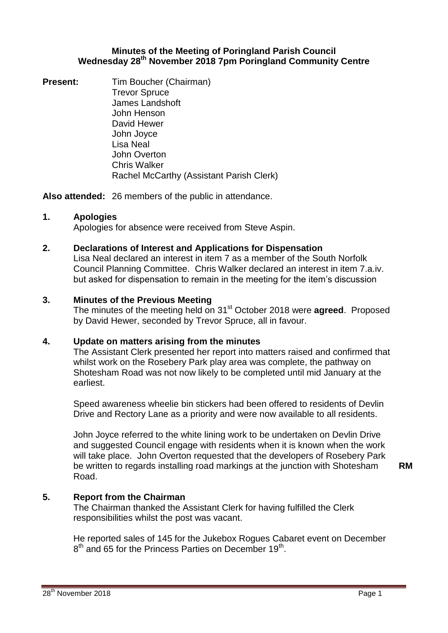#### **Minutes of the Meeting of Poringland Parish Council Wednesday 28th November 2018 7pm Poringland Community Centre**

**Present:** Tim Boucher (Chairman) Trevor Spruce James Landshoft John Henson David Hewer John Joyce Lisa Neal John Overton Chris Walker Rachel McCarthy (Assistant Parish Clerk)

**Also attended:** 26 members of the public in attendance.

## **1. Apologies**

Apologies for absence were received from Steve Aspin.

## **2. Declarations of Interest and Applications for Dispensation**

Lisa Neal declared an interest in item 7 as a member of the South Norfolk Council Planning Committee. Chris Walker declared an interest in item 7.a.iv. but asked for dispensation to remain in the meeting for the item's discussion

## **3. Minutes of the Previous Meeting**

The minutes of the meeting held on 31st October 2018 were **agreed**. Proposed by David Hewer, seconded by Trevor Spruce, all in favour.

## **4. Update on matters arising from the minutes**

The Assistant Clerk presented her report into matters raised and confirmed that whilst work on the Rosebery Park play area was complete, the pathway on Shotesham Road was not now likely to be completed until mid January at the earliest.

Speed awareness wheelie bin stickers had been offered to residents of Devlin Drive and Rectory Lane as a priority and were now available to all residents.

John Joyce referred to the white lining work to be undertaken on Devlin Drive and suggested Council engage with residents when it is known when the work will take place. John Overton requested that the developers of Rosebery Park be written to regards installing road markings at the junction with Shotesham Road.

#### **RM**

## **5. Report from the Chairman**

The Chairman thanked the Assistant Clerk for having fulfilled the Clerk responsibilities whilst the post was vacant.

He reported sales of 145 for the Jukebox Rogues Cabaret event on December  $8<sup>th</sup>$  and 65 for the Princess Parties on December 19<sup>th</sup>.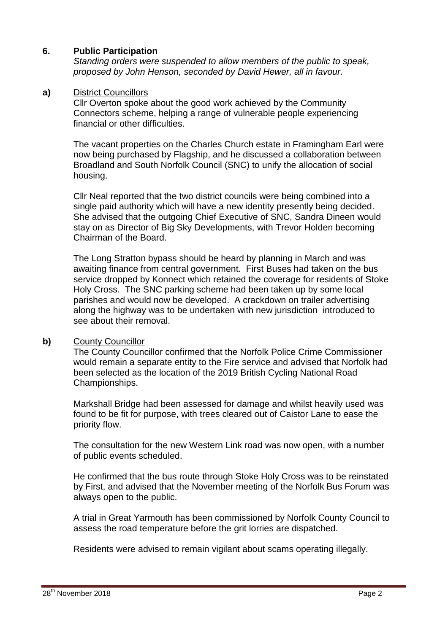## **6. Public Participation**

*Standing orders were suspended to allow members of the public to speak, proposed by John Henson, seconded by David Hewer, all in favour.*

#### **a)** District Councillors

Cllr Overton spoke about the good work achieved by the Community Connectors scheme, helping a range of vulnerable people experiencing financial or other difficulties.

The vacant properties on the Charles Church estate in Framingham Earl were now being purchased by Flagship, and he discussed a collaboration between Broadland and South Norfolk Council (SNC) to unify the allocation of social housing.

Cllr Neal reported that the two district councils were being combined into a single paid authority which will have a new identity presently being decided. She advised that the outgoing Chief Executive of SNC, Sandra Dineen would stay on as Director of Big Sky Developments, with Trevor Holden becoming Chairman of the Board.

The Long Stratton bypass should be heard by planning in March and was awaiting finance from central government. First Buses had taken on the bus service dropped by Konnect which retained the coverage for residents of Stoke Holy Cross. The SNC parking scheme had been taken up by some local parishes and would now be developed. A crackdown on trailer advertising along the highway was to be undertaken with new jurisdiction introduced to see about their removal.

## **b)** County Councillor

The County Councillor confirmed that the Norfolk Police Crime Commissioner would remain a separate entity to the Fire service and advised that Norfolk had been selected as the location of the 2019 British Cycling National Road Championships.

Markshall Bridge had been assessed for damage and whilst heavily used was found to be fit for purpose, with trees cleared out of Caistor Lane to ease the priority flow.

The consultation for the new Western Link road was now open, with a number of public events scheduled.

He confirmed that the bus route through Stoke Holy Cross was to be reinstated by First, and advised that the November meeting of the Norfolk Bus Forum was always open to the public.

A trial in Great Yarmouth has been commissioned by Norfolk County Council to assess the road temperature before the grit lorries are dispatched.

Residents were advised to remain vigilant about scams operating illegally.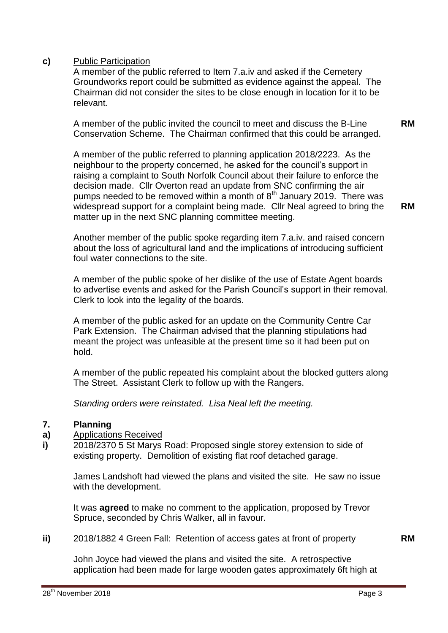## **c)** Public Participation

A member of the public referred to Item 7.a.iv and asked if the Cemetery Groundworks report could be submitted as evidence against the appeal. The Chairman did not consider the sites to be close enough in location for it to be relevant.

A member of the public invited the council to meet and discuss the B-Line Conservation Scheme. The Chairman confirmed that this could be arranged.

A member of the public referred to planning application 2018/2223. As the neighbour to the property concerned, he asked for the council's support in raising a complaint to South Norfolk Council about their failure to enforce the decision made. Cllr Overton read an update from SNC confirming the air pumps needed to be removed within a month of  $8<sup>th</sup>$  January 2019. There was widespread support for a complaint being made. Cllr Neal agreed to bring the matter up in the next SNC planning committee meeting.

Another member of the public spoke regarding item 7.a.iv. and raised concern about the loss of agricultural land and the implications of introducing sufficient foul water connections to the site.

A member of the public spoke of her dislike of the use of Estate Agent boards to advertise events and asked for the Parish Council's support in their removal. Clerk to look into the legality of the boards.

A member of the public asked for an update on the Community Centre Car Park Extension. The Chairman advised that the planning stipulations had meant the project was unfeasible at the present time so it had been put on hold.

A member of the public repeated his complaint about the blocked gutters along The Street. Assistant Clerk to follow up with the Rangers.

*Standing orders were reinstated. Lisa Neal left the meeting.*

#### **7. Planning**

- **a)** Applications Received
- **i)** 2018/2370 5 St Marys Road: Proposed single storey extension to side of existing property. Demolition of existing flat roof detached garage.

James Landshoft had viewed the plans and visited the site. He saw no issue with the development.

It was **agreed** to make no comment to the application, proposed by Trevor Spruce, seconded by Chris Walker, all in favour.

**ii)** 2018/1882 4 Green Fall: Retention of access gates at front of property **RM**

John Joyce had viewed the plans and visited the site. A retrospective application had been made for large wooden gates approximately 6ft high at **RM**

**RM**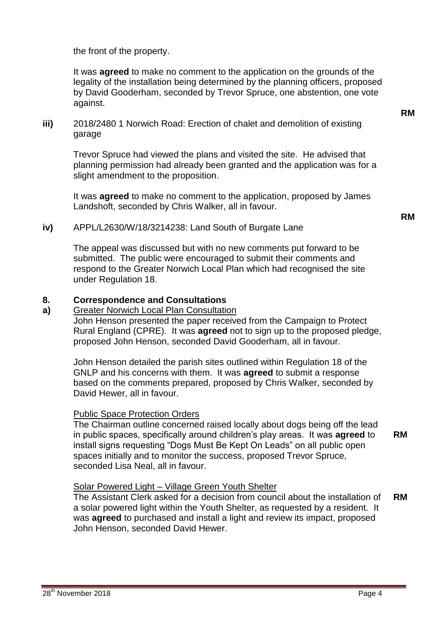the front of the property.

It was **agreed** to make no comment to the application on the grounds of the legality of the installation being determined by the planning officers, proposed by David Gooderham, seconded by Trevor Spruce, one abstention, one vote against.

**iii)** 2018/2480 1 Norwich Road: Erection of chalet and demolition of existing garage

Trevor Spruce had viewed the plans and visited the site. He advised that planning permission had already been granted and the application was for a slight amendment to the proposition.

It was **agreed** to make no comment to the application, proposed by James Landshoft, seconded by Chris Walker, all in favour.

**RM**

**RM**

**iv)** APPL/L2630/W/18/3214238: Land South of Burgate Lane

The appeal was discussed but with no new comments put forward to be submitted. The public were encouraged to submit their comments and respond to the Greater Norwich Local Plan which had recognised the site under Regulation 18.

#### **8. Correspondence and Consultations**

Greater Norwich Local Plan Consultation John Henson presented the paper received from the Campaign to Protect Rural England (CPRE). It was **agreed** not to sign up to the proposed pledge, proposed John Henson, seconded David Gooderham, all in favour.

John Henson detailed the parish sites outlined within Regulation 18 of the GNLP and his concerns with them. It was **agreed** to submit a response based on the comments prepared, proposed by Chris Walker, seconded by David Hewer, all in favour.

## Public Space Protection Orders

The Chairman outline concerned raised locally about dogs being off the lead in public spaces, specifically around children's play areas. It was **agreed** to install signs requesting "Dogs Must Be Kept On Leads" on all public open spaces initially and to monitor the success, proposed Trevor Spruce, seconded Lisa Neal, all in favour. **RM**

## Solar Powered Light – Village Green Youth Shelter

The Assistant Clerk asked for a decision from council about the installation of a solar powered light within the Youth Shelter, as requested by a resident. It was **agreed** to purchased and install a light and review its impact, proposed John Henson, seconded David Hewer. **RM**

**a)**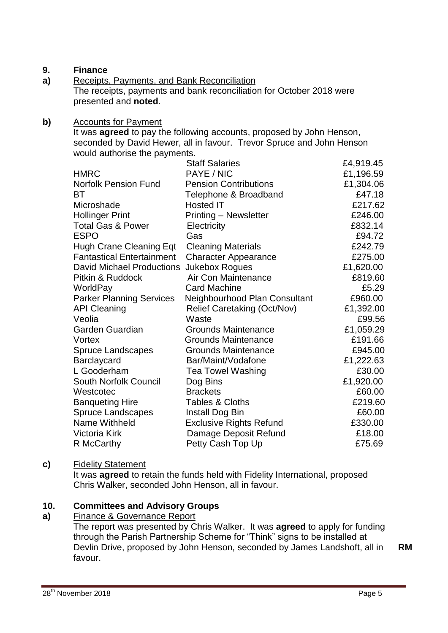#### **9. Finance**

**a)** Receipts, Payments, and Bank Reconciliation The receipts, payments and bank reconciliation for October 2018 were presented and **noted**.

## **b)** Accounts for Payment

It was **agreed** to pay the following accounts, proposed by John Henson, seconded by David Hewer, all in favour. Trevor Spruce and John Henson would authorise the payments.

|                                  | <b>Staff Salaries</b>          | £4,919.45 |
|----------------------------------|--------------------------------|-----------|
| <b>HMRC</b>                      | PAYE / NIC                     | £1,196.59 |
| <b>Norfolk Pension Fund</b>      | <b>Pension Contributions</b>   | £1,304.06 |
| ВT                               | Telephone & Broadband          | £47.18    |
| Microshade                       | <b>Hosted IT</b>               | £217.62   |
| <b>Hollinger Print</b>           | <b>Printing - Newsletter</b>   | £246.00   |
| <b>Total Gas &amp; Power</b>     | Electricity                    | £832.14   |
| <b>ESPO</b>                      | Gas                            | £94.72    |
| <b>Hugh Crane Cleaning Eqt</b>   | <b>Cleaning Materials</b>      | £242.79   |
| <b>Fantastical Entertainment</b> | <b>Character Appearance</b>    | £275.00   |
| <b>David Michael Productions</b> | <b>Jukebox Rogues</b>          | £1,620.00 |
| Pitkin & Ruddock                 | Air Con Maintenance            | £819.60   |
| WorldPay                         | <b>Card Machine</b>            | £5.29     |
| <b>Parker Planning Services</b>  | Neighbourhood Plan Consultant  | £960.00   |
| <b>API Cleaning</b>              | Relief Caretaking (Oct/Nov)    | £1,392.00 |
| Veolia                           | Waste                          | £99.56    |
| Garden Guardian                  | <b>Grounds Maintenance</b>     | £1,059.29 |
| Vortex                           | <b>Grounds Maintenance</b>     | £191.66   |
| <b>Spruce Landscapes</b>         | <b>Grounds Maintenance</b>     | £945.00   |
| Barclaycard                      | Bar/Maint/Vodafone             | £1,222.63 |
| L Gooderham                      | <b>Tea Towel Washing</b>       | £30.00    |
| South Norfolk Council            | Dog Bins                       | £1,920.00 |
| Westcotec                        | <b>Brackets</b>                | £60.00    |
| <b>Banqueting Hire</b>           | <b>Tables &amp; Cloths</b>     | £219.60   |
| <b>Spruce Landscapes</b>         | Install Dog Bin                | £60.00    |
| Name Withheld                    | <b>Exclusive Rights Refund</b> | £330.00   |
| Victoria Kirk                    | Damage Deposit Refund          | £18.00    |
| R McCarthy                       | Petty Cash Top Up              | £75.69    |

## **c)** Fidelity Statement

It was **agreed** to retain the funds held with Fidelity International, proposed Chris Walker, seconded John Henson, all in favour.

#### **10. Committees and Advisory Groups**

#### **a)** Finance & Governance Report

The report was presented by Chris Walker. It was **agreed** to apply for funding through the Parish Partnership Scheme for "Think" signs to be installed at Devlin Drive, proposed by John Henson, seconded by James Landshoft, all in favour.

**RM**